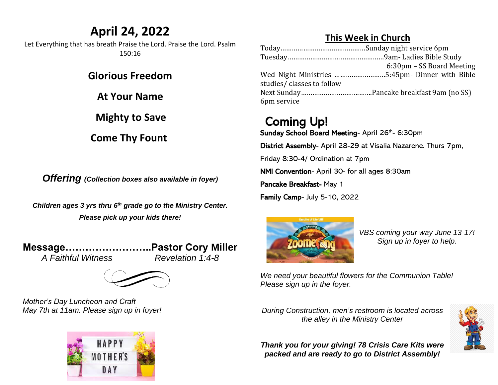## **April 24, 2022**

Let Everything that has breath Praise the Lord. Praise the Lord. Psalm 150:16

**Glorious Freedom**

**At Your Name**

 **Mighty to Save**

**Come Thy Fount** 

*Offering (Collection boxes also available in foyer)*

*Children ages 3 yrs thru 6 th grade go to the Ministry Center. Please pick up your kids there!*

**Message……………………..Pastor Cory Miller** *A Faithful Witness Revelation 1:4-8*



*Mother's Day Luncheon and Craft May 7th at 11am. Please sign up in foyer!*



#### **This Week in Church**

|                           | 6:30pm - SS Board Meeting |
|---------------------------|---------------------------|
|                           |                           |
| studies/classes to follow |                           |
|                           |                           |
| 6pm service               |                           |

## Coming Up!

Sunday School Board Meeting- April 26<sup>th</sup>- 6:30pm

District Assembly- April 28-29 at Visalia Nazarene. Thurs 7pm,

Friday 8:30-4/ Ordination at 7pm

NMI Convention- April 30- for all ages 8:30am

Pancake Breakfast- May 1

Family Camp- July 5-10, 2022



*VBS coming your way June 13-17! Sign up in foyer to help.* 

*We need your beautiful flowers for the Communion Table! Please sign up in the foyer.* 

*During Construction, men's restroom is located across the alley in the Ministry Center*



*Thank you for your giving! 78 Crisis Care Kits were packed and are ready to go to District Assembly!*